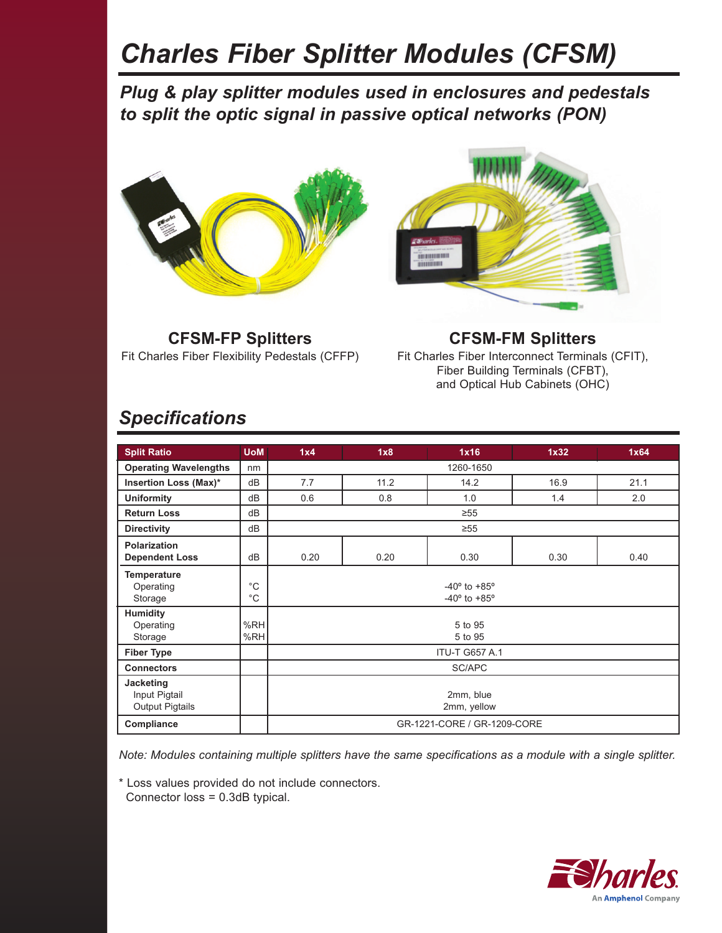# *Charles Fiber Splitter Modules (CFSM)*

*Plug & play splitter modules used in enclosures and pedestals to split the optic signal in passive optical networks (PON)*





**CFSM-FP Splitters** Fit Charles Fiber Flexibility Pedestals (CFFP)

**CFSM-FM Splitters** Fit Charles Fiber Interconnect Terminals (CFIT), Fiber Building Terminals (CFBT), and Optical Hub Cabinets (OHC)

### *Specifications*

| <b>Split Ratio</b>                    | <b>UoM</b>   | 1x4                            | 1x8  | 1x16 | 1x32 | 1x64 |  |  |  |  |
|---------------------------------------|--------------|--------------------------------|------|------|------|------|--|--|--|--|
| <b>Operating Wavelengths</b>          | nm           | 1260-1650                      |      |      |      |      |  |  |  |  |
| Insertion Loss (Max)*                 | dB           | 7.7                            | 11.2 | 14.2 | 16.9 | 21.1 |  |  |  |  |
| <b>Uniformity</b>                     | dB           | 0.6                            | 0.8  | 1.0  | 1.4  | 2.0  |  |  |  |  |
| <b>Return Loss</b>                    | dB           | $\geq 55$                      |      |      |      |      |  |  |  |  |
| <b>Directivity</b>                    | dB           | $\geq 55$                      |      |      |      |      |  |  |  |  |
| Polarization<br><b>Dependent Loss</b> | dB           | 0.20                           | 0.20 | 0.30 | 0.30 | 0.40 |  |  |  |  |
|                                       |              |                                |      |      |      |      |  |  |  |  |
| <b>Temperature</b>                    |              |                                |      |      |      |      |  |  |  |  |
| Operating                             | $^{\circ}$ C | $-40^{\circ}$ to $+85^{\circ}$ |      |      |      |      |  |  |  |  |
| Storage                               | $^{\circ}C$  | $-40^{\circ}$ to $+85^{\circ}$ |      |      |      |      |  |  |  |  |
| <b>Humidity</b>                       |              |                                |      |      |      |      |  |  |  |  |
| Operating                             | %RH          | 5 to 95                        |      |      |      |      |  |  |  |  |
| Storage                               | %RH          | 5 to 95                        |      |      |      |      |  |  |  |  |
| <b>Fiber Type</b>                     |              | <b>ITU-T G657 A.1</b>          |      |      |      |      |  |  |  |  |
| <b>Connectors</b>                     |              | SC/APC                         |      |      |      |      |  |  |  |  |
| Jacketing                             |              |                                |      |      |      |      |  |  |  |  |
| Input Pigtail                         |              | 2mm, blue                      |      |      |      |      |  |  |  |  |
| <b>Output Pigtails</b>                |              | 2mm, yellow                    |      |      |      |      |  |  |  |  |
|                                       |              | GR-1221-CORE / GR-1209-CORE    |      |      |      |      |  |  |  |  |
| Compliance                            |              |                                |      |      |      |      |  |  |  |  |

*Note: Modules containing multiple splitters have the same specifications as a module with a single splitter.* 

\* Loss values provided do not include connectors.

Connector loss = 0.3dB typical.